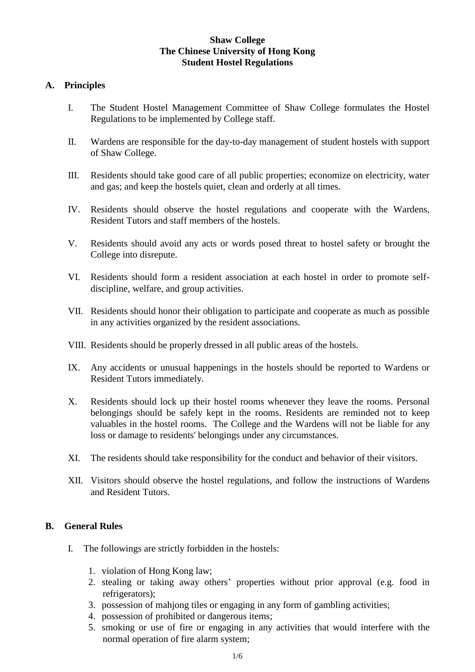# **Shaw College The Chinese University of Hong Kong Student Hostel Regulations**

### **A. Principles**

- I. The Student Hostel Management Committee of Shaw College formulates the Hostel Regulations to be implemented by College staff.
- II. Wardens are responsible for the day-to-day management of student hostels with support of Shaw College.
- III. Residents should take good care of all public properties; economize on electricity, water and gas; and keep the hostels quiet, clean and orderly at all times.
- IV. Residents should observe the hostel regulations and cooperate with the Wardens, Resident Tutors and staff members of the hostels.
- V. Residents should avoid any acts or words posed threat to hostel safety or brought the College into disrepute.
- VI. Residents should form a resident association at each hostel in order to promote selfdiscipline, welfare, and group activities.
- VII. Residents should honor their obligation to participate and cooperate as much as possible in any activities organized by the resident associations.
- VIII. Residents should be properly dressed in all public areas of the hostels.
- IX. Any accidents or unusual happenings in the hostels should be reported to Wardens or Resident Tutors immediately.
- X. Residents should lock up their hostel rooms whenever they leave the rooms. Personal belongings should be safely kept in the rooms. Residents are reminded not to keep valuables in the hostel rooms. The College and the Wardens will not be liable for any loss or damage to residents' belongings under any circumstances.
- XI. The residents should take responsibility for the conduct and behavior of their visitors.
- XII. Visitors should observe the hostel regulations, and follow the instructions of Wardens and Resident Tutors.

# **B. General Rules**

- I. The followings are strictly forbidden in the hostels:
	- 1. violation of Hong Kong law;
	- 2. stealing or taking away others' properties without prior approval (e.g. food in refrigerators);
	- 3. possession of mahjong tiles or engaging in any form of gambling activities;
	- 4. possession of prohibited or dangerous items;
	- 5. smoking or use of fire or engaging in any activities that would interfere with the normal operation of fire alarm system;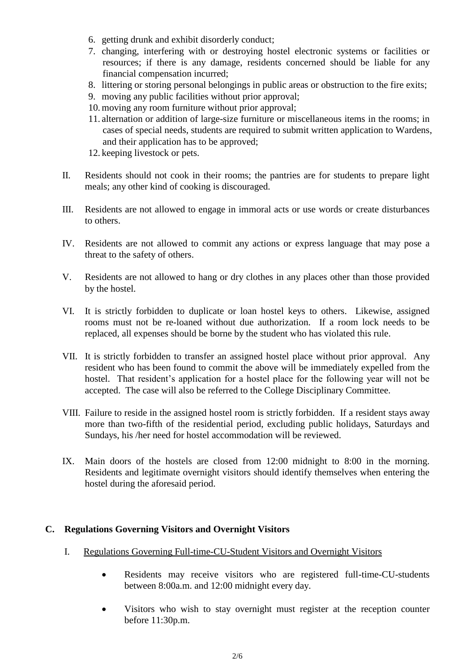- 6. getting drunk and exhibit disorderly conduct;
- 7. changing, interfering with or destroying hostel electronic systems or facilities or resources; if there is any damage, residents concerned should be liable for any financial compensation incurred;
- 8. littering or storing personal belongings in public areas or obstruction to the fire exits;
- 9. moving any public facilities without prior approval;
- 10. moving any room furniture without prior approval;
- 11. alternation or addition of large-size furniture or miscellaneous items in the rooms; in cases of special needs, students are required to submit written application to Wardens, and their application has to be approved;
- 12. keeping livestock or pets.
- II. Residents should not cook in their rooms; the pantries are for students to prepare light meals; any other kind of cooking is discouraged.
- III. Residents are not allowed to engage in immoral acts or use words or create disturbances to others.
- IV. Residents are not allowed to commit any actions or express language that may pose a threat to the safety of others.
- V. Residents are not allowed to hang or dry clothes in any places other than those provided by the hostel.
- VI. It is strictly forbidden to duplicate or loan hostel keys to others. Likewise, assigned rooms must not be re-loaned without due authorization. If a room lock needs to be replaced, all expenses should be borne by the student who has violated this rule.
- VII. It is strictly forbidden to transfer an assigned hostel place without prior approval. Any resident who has been found to commit the above will be immediately expelled from the hostel. That resident's application for a hostel place for the following year will not be accepted. The case will also be referred to the College Disciplinary Committee.
- VIII. Failure to reside in the assigned hostel room is strictly forbidden. If a resident stays away more than two-fifth of the residential period, excluding public holidays, Saturdays and Sundays, his /her need for hostel accommodation will be reviewed.
- IX. Main doors of the hostels are closed from 12:00 midnight to 8:00 in the morning. Residents and legitimate overnight visitors should identify themselves when entering the hostel during the aforesaid period.

# **C. Regulations Governing Visitors and Overnight Visitors**

- I. Regulations Governing Full-time-CU-Student Visitors and Overnight Visitors
	- Residents may receive visitors who are registered full-time-CU-students between 8:00a.m. and 12:00 midnight every day.
	- Visitors who wish to stay overnight must register at the reception counter before 11:30p.m.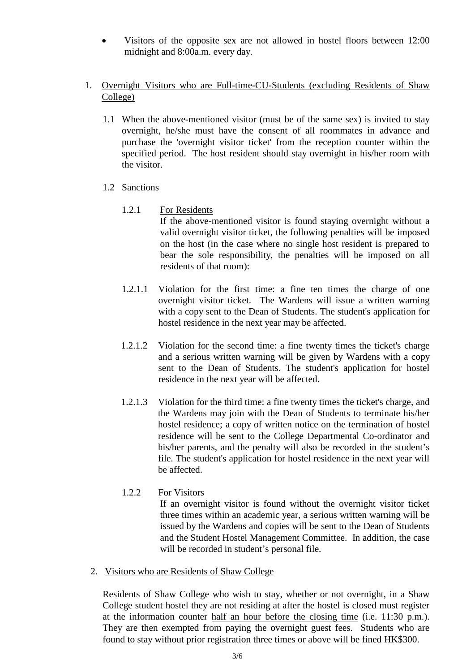- Visitors of the opposite sex are not allowed in hostel floors between 12:00 midnight and 8:00a.m. every day.
- 1. Overnight Visitors who are Full-time-CU-Students (excluding Residents of Shaw College)
	- 1.1 When the above-mentioned visitor (must be of the same sex) is invited to stay overnight, he/she must have the consent of all roommates in advance and purchase the 'overnight visitor ticket' from the reception counter within the specified period. The host resident should stay overnight in his/her room with the visitor.
	- 1.2 Sanctions
		- 1.2.1 For Residents

If the above-mentioned visitor is found staying overnight without a valid overnight visitor ticket, the following penalties will be imposed on the host (in the case where no single host resident is prepared to bear the sole responsibility, the penalties will be imposed on all residents of that room):

- 1.2.1.1 Violation for the first time: a fine ten times the charge of one overnight visitor ticket. The Wardens will issue a written warning with a copy sent to the Dean of Students. The student's application for hostel residence in the next year may be affected.
- 1.2.1.2 Violation for the second time: a fine twenty times the ticket's charge and a serious written warning will be given by Wardens with a copy sent to the Dean of Students. The student's application for hostel residence in the next year will be affected.
- 1.2.1.3 Violation for the third time: a fine twenty times the ticket's charge, and the Wardens may join with the Dean of Students to terminate his/her hostel residence; a copy of written notice on the termination of hostel residence will be sent to the College Departmental Co-ordinator and his/her parents, and the penalty will also be recorded in the student's file. The student's application for hostel residence in the next year will be affected.
- 1.2.2 For Visitors

If an overnight visitor is found without the overnight visitor ticket three times within an academic year, a serious written warning will be issued by the Wardens and copies will be sent to the Dean of Students and the Student Hostel Management Committee. In addition, the case will be recorded in student's personal file.

2. Visitors who are Residents of Shaw College

Residents of Shaw College who wish to stay, whether or not overnight, in a Shaw College student hostel they are not residing at after the hostel is closed must register at the information counter half an hour before the closing time (i.e. 11:30 p.m.). They are then exempted from paying the overnight guest fees. Students who are found to stay without prior registration three times or above will be fined HK\$300.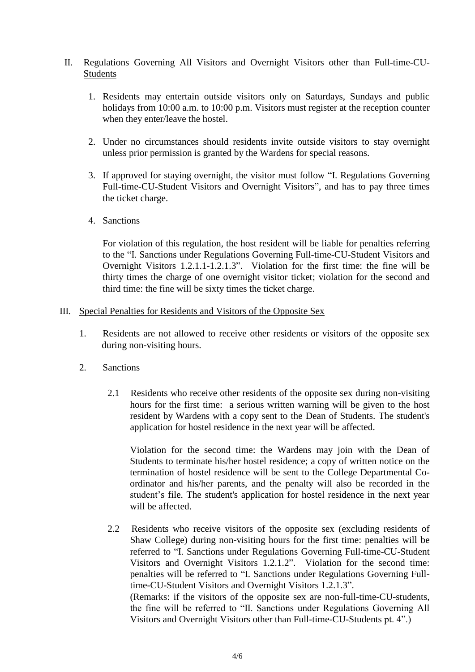# II. Regulations Governing All Visitors and Overnight Visitors other than Full-time-CU- Students

- 1. Residents may entertain outside visitors only on Saturdays, Sundays and public holidays from 10:00 a.m. to 10:00 p.m. Visitors must register at the reception counter when they enter/leave the hostel.
- 2. Under no circumstances should residents invite outside visitors to stay overnight unless prior permission is granted by the Wardens for special reasons.
- 3. If approved for staying overnight, the visitor must follow "I. Regulations Governing Full-time-CU-Student Visitors and Overnight Visitors", and has to pay three times the ticket charge.
- 4. Sanctions

For violation of this regulation, the host resident will be liable for penalties referring to the "I. Sanctions under Regulations Governing Full-time-CU-Student Visitors and Overnight Visitors 1.2.1.1-1.2.1.3". Violation for the first time: the fine will be thirty times the charge of one overnight visitor ticket; violation for the second and third time: the fine will be sixty times the ticket charge.

#### III. Special Penalties for Residents and Visitors of the Opposite Sex

- 1. Residents are not allowed to receive other residents or visitors of the opposite sex during non-visiting hours.
- 2. Sanctions
	- 2.1 Residents who receive other residents of the opposite sex during non-visiting hours for the first time: a serious written warning will be given to the host resident by Wardens with a copy sent to the Dean of Students. The student's application for hostel residence in the next year will be affected.

Violation for the second time: the Wardens may join with the Dean of Students to terminate his/her hostel residence; a copy of written notice on the termination of hostel residence will be sent to the College Departmental Coordinator and his/her parents, and the penalty will also be recorded in the student's file. The student's application for hostel residence in the next year will be affected.

2.2 Residents who receive visitors of the opposite sex (excluding residents of Shaw College) during non-visiting hours for the first time: penalties will be referred to "I. Sanctions under Regulations Governing Full-time-CU-Student Visitors and Overnight Visitors 1.2.1.2". Violation for the second time: penalties will be referred to "I. Sanctions under Regulations Governing Fulltime-CU-Student Visitors and Overnight Visitors 1.2.1.3". (Remarks: if the visitors of the opposite sex are non-full-time-CU-students, the fine will be referred to "II. Sanctions under Regulations Governing All Visitors and Overnight Visitors other than Full-time-CU-Students pt. 4".)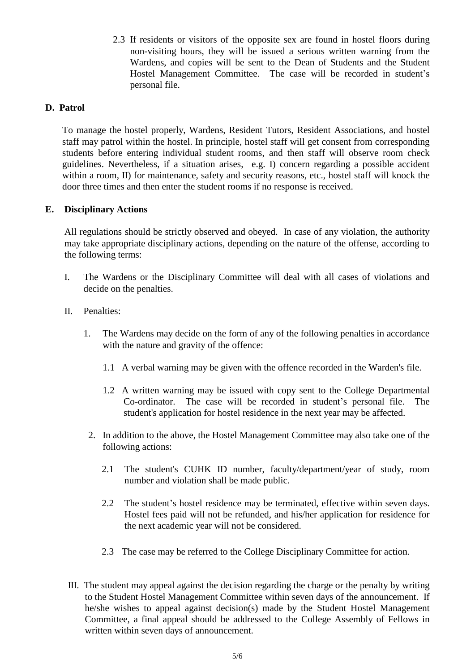2.3 If residents or visitors of the opposite sex are found in hostel floors during non-visiting hours, they will be issued a serious written warning from the Wardens, and copies will be sent to the Dean of Students and the Student Hostel Management Committee. The case will be recorded in student's personal file.

# **D. Patrol**

To manage the hostel properly, Wardens, Resident Tutors, Resident Associations, and hostel staff may patrol within the hostel. In principle, hostel staff will get consent from corresponding students before entering individual student rooms, and then staff will observe room check guidelines. Nevertheless, if a situation arises, e.g. I) concern regarding a possible accident within a room, II) for maintenance, safety and security reasons, etc., hostel staff will knock the door three times and then enter the student rooms if no response is received.

## **E. Disciplinary Actions**

All regulations should be strictly observed and obeyed. In case of any violation, the authority may take appropriate disciplinary actions, depending on the nature of the offense, according to the following terms:

- I. The Wardens or the Disciplinary Committee will deal with all cases of violations and decide on the penalties.
- II. Penalties:
	- 1. The Wardens may decide on the form of any of the following penalties in accordance with the nature and gravity of the offence:
		- 1.1 A verbal warning may be given with the offence recorded in the Warden's file.
		- 1.2 A written warning may be issued with copy sent to the College Departmental Co-ordinator. The case will be recorded in student's personal file. The student's application for hostel residence in the next year may be affected.
	- 2. In addition to the above, the Hostel Management Committee may also take one of the following actions:
		- 2.1 The student's CUHK ID number, faculty/department/year of study, room number and violation shall be made public.
		- 2.2 The student's hostel residence may be terminated, effective within seven days. Hostel fees paid will not be refunded, and his/her application for residence for the next academic year will not be considered.
		- 2.3 The case may be referred to the College Disciplinary Committee for action.
- III. The student may appeal against the decision regarding the charge or the penalty by writing to the Student Hostel Management Committee within seven days of the announcement. If he/she wishes to appeal against decision(s) made by the Student Hostel Management Committee, a final appeal should be addressed to the College Assembly of Fellows in written within seven days of announcement.